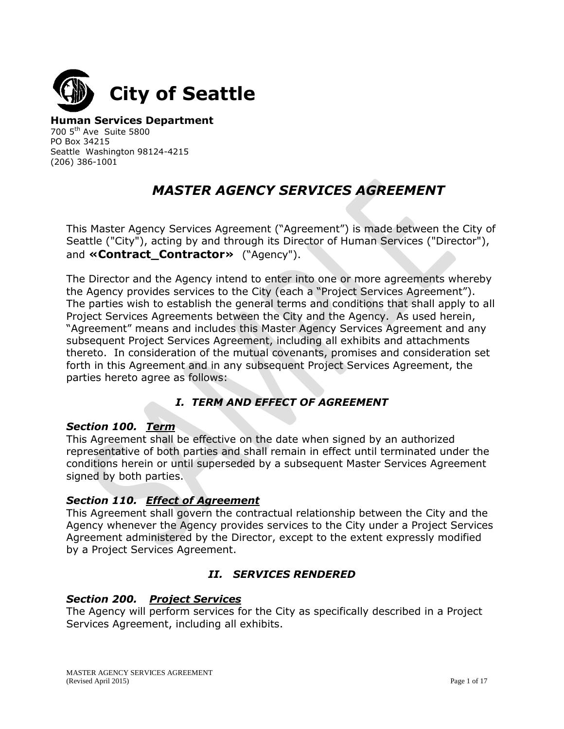

**Human Services Department** 700 5th Ave Suite 5800 PO Box 34215 Seattle Washington 98124-4215 (206) 386-1001

# *MASTER AGENCY SERVICES AGREEMENT*

This Master Agency Services Agreement ("Agreement") is made between the City of Seattle ("City"), acting by and through its Director of Human Services ("Director"), and «**Contract Contractor»** ("Agency").

The Director and the Agency intend to enter into one or more agreements whereby the Agency provides services to the City (each a "Project Services Agreement"). The parties wish to establish the general terms and conditions that shall apply to all Project Services Agreements between the City and the Agency. As used herein, "Agreement" means and includes this Master Agency Services Agreement and any subsequent Project Services Agreement, including all exhibits and attachments thereto. In consideration of the mutual covenants, promises and consideration set forth in this Agreement and in any subsequent Project Services Agreement, the parties hereto agree as follows:

# *I. TERM AND EFFECT OF AGREEMENT*

## *Section 100. Term*

This Agreement shall be effective on the date when signed by an authorized representative of both parties and shall remain in effect until terminated under the conditions herein or until superseded by a subsequent Master Services Agreement signed by both parties.

## *Section 110. Effect of Agreement*

This Agreement shall govern the contractual relationship between the City and the Agency whenever the Agency provides services to the City under a Project Services Agreement administered by the Director, except to the extent expressly modified by a Project Services Agreement.

# *II. SERVICES RENDERED*

## *Section 200. Project Services*

The Agency will perform services for the City as specifically described in a Project Services Agreement, including all exhibits.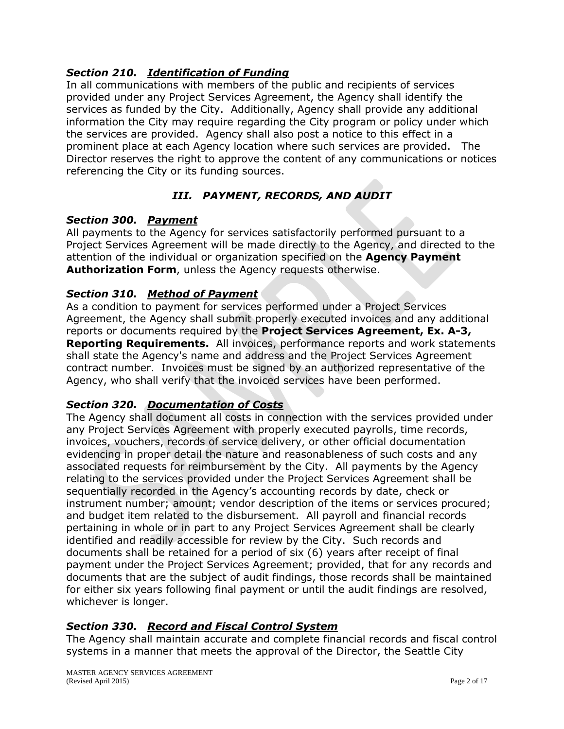## *Section 210. Identification of Funding*

In all communications with members of the public and recipients of services provided under any Project Services Agreement, the Agency shall identify the services as funded by the City. Additionally, Agency shall provide any additional information the City may require regarding the City program or policy under which the services are provided. Agency shall also post a notice to this effect in a prominent place at each Agency location where such services are provided. The Director reserves the right to approve the content of any communications or notices referencing the City or its funding sources.

# *III. PAYMENT, RECORDS, AND AUDIT*

#### *Section 300. Payment*

All payments to the Agency for services satisfactorily performed pursuant to a Project Services Agreement will be made directly to the Agency, and directed to the attention of the individual or organization specified on the **Agency Payment Authorization Form**, unless the Agency requests otherwise.

## *Section 310. Method of Payment*

As a condition to payment for services performed under a Project Services Agreement, the Agency shall submit properly executed invoices and any additional reports or documents required by the **Project Services Agreement, Ex. A-3, Reporting Requirements.** All invoices, performance reports and work statements shall state the Agency's name and address and the Project Services Agreement contract number. Invoices must be signed by an authorized representative of the Agency, who shall verify that the invoiced services have been performed.

## *Section 320. Documentation of Costs*

The Agency shall document all costs in connection with the services provided under any Project Services Agreement with properly executed payrolls, time records, invoices, vouchers, records of service delivery, or other official documentation evidencing in proper detail the nature and reasonableness of such costs and any associated requests for reimbursement by the City. All payments by the Agency relating to the services provided under the Project Services Agreement shall be sequentially recorded in the Agency's accounting records by date, check or instrument number; amount; vendor description of the items or services procured; and budget item related to the disbursement. All payroll and financial records pertaining in whole or in part to any Project Services Agreement shall be clearly identified and readily accessible for review by the City. Such records and documents shall be retained for a period of six (6) years after receipt of final payment under the Project Services Agreement; provided, that for any records and documents that are the subject of audit findings, those records shall be maintained for either six years following final payment or until the audit findings are resolved, whichever is longer.

## *Section 330. Record and Fiscal Control System*

The Agency shall maintain accurate and complete financial records and fiscal control systems in a manner that meets the approval of the Director, the Seattle City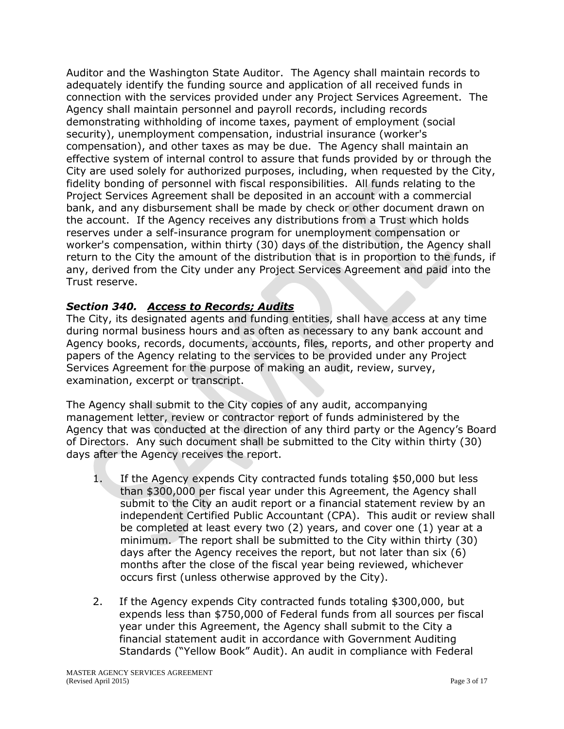Auditor and the Washington State Auditor. The Agency shall maintain records to adequately identify the funding source and application of all received funds in connection with the services provided under any Project Services Agreement. The Agency shall maintain personnel and payroll records, including records demonstrating withholding of income taxes, payment of employment (social security), unemployment compensation, industrial insurance (worker's compensation), and other taxes as may be due. The Agency shall maintain an effective system of internal control to assure that funds provided by or through the City are used solely for authorized purposes, including, when requested by the City, fidelity bonding of personnel with fiscal responsibilities. All funds relating to the Project Services Agreement shall be deposited in an account with a commercial bank, and any disbursement shall be made by check or other document drawn on the account. If the Agency receives any distributions from a Trust which holds reserves under a self-insurance program for unemployment compensation or worker's compensation, within thirty (30) days of the distribution, the Agency shall return to the City the amount of the distribution that is in proportion to the funds, if any, derived from the City under any Project Services Agreement and paid into the Trust reserve.

# *Section 340. Access to Records; Audits*

The City, its designated agents and funding entities, shall have access at any time during normal business hours and as often as necessary to any bank account and Agency books, records, documents, accounts, files, reports, and other property and papers of the Agency relating to the services to be provided under any Project Services Agreement for the purpose of making an audit, review, survey, examination, excerpt or transcript.

The Agency shall submit to the City copies of any audit, accompanying management letter, review or contractor report of funds administered by the Agency that was conducted at the direction of any third party or the Agency's Board of Directors. Any such document shall be submitted to the City within thirty (30) days after the Agency receives the report.

- 1. If the Agency expends City contracted funds totaling \$50,000 but less than \$300,000 per fiscal year under this Agreement, the Agency shall submit to the City an audit report or a financial statement review by an independent Certified Public Accountant (CPA). This audit or review shall be completed at least every two (2) years, and cover one (1) year at a minimum. The report shall be submitted to the City within thirty (30) days after the Agency receives the report, but not later than six (6) months after the close of the fiscal year being reviewed, whichever occurs first (unless otherwise approved by the City).
- 2. If the Agency expends City contracted funds totaling \$300,000, but expends less than \$750,000 of Federal funds from all sources per fiscal year under this Agreement, the Agency shall submit to the City a financial statement audit in accordance with Government Auditing Standards ("Yellow Book" Audit). An audit in compliance with Federal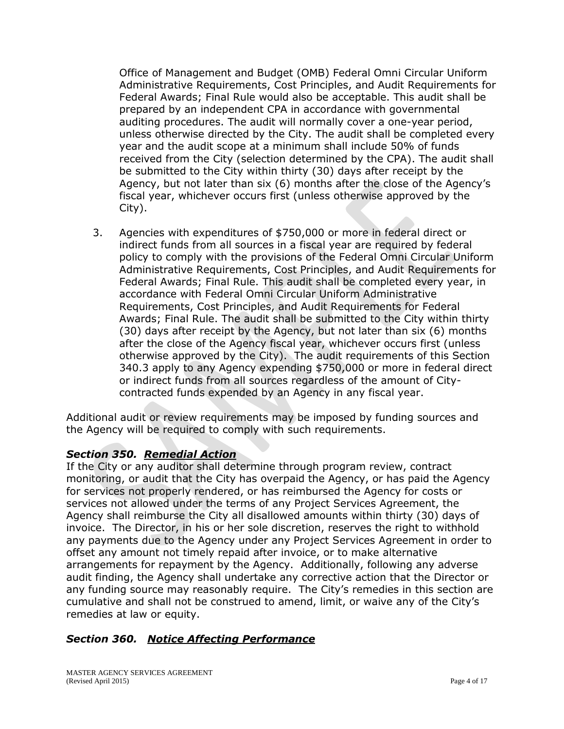Office of Management and Budget (OMB) Federal Omni Circular Uniform Administrative Requirements, Cost Principles, and Audit Requirements for Federal Awards; Final Rule would also be acceptable. This audit shall be prepared by an independent CPA in accordance with governmental auditing procedures. The audit will normally cover a one-year period, unless otherwise directed by the City. The audit shall be completed every year and the audit scope at a minimum shall include 50% of funds received from the City (selection determined by the CPA). The audit shall be submitted to the City within thirty (30) days after receipt by the Agency, but not later than six (6) months after the close of the Agency's fiscal year, whichever occurs first (unless otherwise approved by the City).

3. Agencies with expenditures of \$750,000 or more in federal direct or indirect funds from all sources in a fiscal year are required by federal policy to comply with the provisions of the Federal Omni Circular Uniform Administrative Requirements, Cost Principles, and Audit Requirements for Federal Awards; Final Rule. This audit shall be completed every year, in accordance with Federal Omni Circular Uniform Administrative Requirements, Cost Principles, and Audit Requirements for Federal Awards; Final Rule. The audit shall be submitted to the City within thirty (30) days after receipt by the Agency, but not later than six (6) months after the close of the Agency fiscal year, whichever occurs first (unless otherwise approved by the City). The audit requirements of this Section 340.3 apply to any Agency expending \$750,000 or more in federal direct or indirect funds from all sources regardless of the amount of Citycontracted funds expended by an Agency in any fiscal year.

Additional audit or review requirements may be imposed by funding sources and the Agency will be required to comply with such requirements.

## *Section 350. Remedial Action*

If the City or any auditor shall determine through program review, contract monitoring, or audit that the City has overpaid the Agency, or has paid the Agency for services not properly rendered, or has reimbursed the Agency for costs or services not allowed under the terms of any Project Services Agreement, the Agency shall reimburse the City all disallowed amounts within thirty (30) days of invoice. The Director, in his or her sole discretion, reserves the right to withhold any payments due to the Agency under any Project Services Agreement in order to offset any amount not timely repaid after invoice, or to make alternative arrangements for repayment by the Agency. Additionally, following any adverse audit finding, the Agency shall undertake any corrective action that the Director or any funding source may reasonably require. The City's remedies in this section are cumulative and shall not be construed to amend, limit, or waive any of the City's remedies at law or equity.

#### *Section 360. Notice Affecting Performance*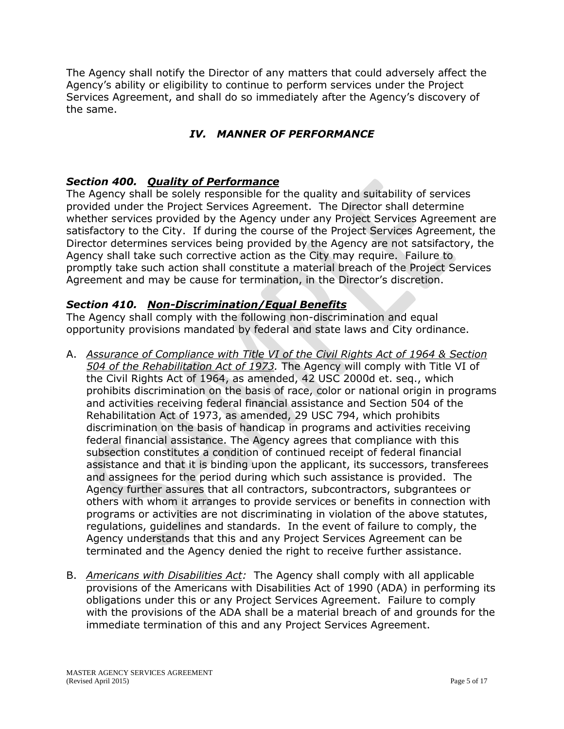The Agency shall notify the Director of any matters that could adversely affect the Agency's ability or eligibility to continue to perform services under the Project Services Agreement, and shall do so immediately after the Agency's discovery of the same.

# *IV. MANNER OF PERFORMANCE*

## *Section 400. Quality of Performance*

The Agency shall be solely responsible for the quality and suitability of services provided under the Project Services Agreement. The Director shall determine whether services provided by the Agency under any Project Services Agreement are satisfactory to the City. If during the course of the Project Services Agreement, the Director determines services being provided by the Agency are not satsifactory, the Agency shall take such corrective action as the City may require. Failure to promptly take such action shall constitute a material breach of the Project Services Agreement and may be cause for termination, in the Director's discretion.

## *Section 410. Non-Discrimination/Equal Benefits*

The Agency shall comply with the following non-discrimination and equal opportunity provisions mandated by federal and state laws and City ordinance.

- A. *Assurance of Compliance with Title VI of the Civil Rights Act of 1964 & Section 504 of the Rehabilitation Act of 1973.* The Agency will comply with Title VI of the Civil Rights Act of 1964, as amended, 42 USC 2000d et. seq., which prohibits discrimination on the basis of race, color or national origin in programs and activities receiving federal financial assistance and Section 504 of the Rehabilitation Act of 1973, as amended, 29 USC 794, which prohibits discrimination on the basis of handicap in programs and activities receiving federal financial assistance. The Agency agrees that compliance with this subsection constitutes a condition of continued receipt of federal financial assistance and that it is binding upon the applicant, its successors, transferees and assignees for the period during which such assistance is provided. The Agency further assures that all contractors, subcontractors, subgrantees or others with whom it arranges to provide services or benefits in connection with programs or activities are not discriminating in violation of the above statutes, regulations, guidelines and standards. In the event of failure to comply, the Agency understands that this and any Project Services Agreement can be terminated and the Agency denied the right to receive further assistance.
- B. *Americans with Disabilities Act:* The Agency shall comply with all applicable provisions of the Americans with Disabilities Act of 1990 (ADA) in performing its obligations under this or any Project Services Agreement. Failure to comply with the provisions of the ADA shall be a material breach of and grounds for the immediate termination of this and any Project Services Agreement.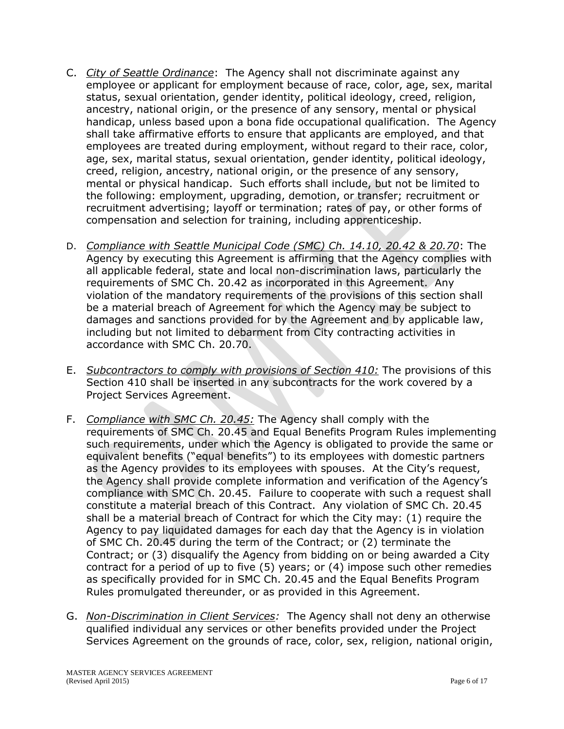- C. *City of Seattle Ordinance*: The Agency shall not discriminate against any employee or applicant for employment because of race, color, age, sex, marital status, sexual orientation, gender identity, political ideology, creed, religion, ancestry, national origin, or the presence of any sensory, mental or physical handicap, unless based upon a bona fide occupational qualification. The Agency shall take affirmative efforts to ensure that applicants are employed, and that employees are treated during employment, without regard to their race, color, age, sex, marital status, sexual orientation, gender identity, political ideology, creed, religion, ancestry, national origin, or the presence of any sensory, mental or physical handicap. Such efforts shall include, but not be limited to the following: employment, upgrading, demotion, or transfer; recruitment or recruitment advertising; layoff or termination; rates of pay, or other forms of compensation and selection for training, including apprenticeship.
- D. *Compliance with Seattle Municipal Code (SMC) Ch. 14.10, 20.42 & 20.70*: The Agency by executing this Agreement is affirming that the Agency complies with all applicable federal, state and local non-discrimination laws, particularly the requirements of SMC Ch. 20.42 as incorporated in this Agreement. Any violation of the mandatory requirements of the provisions of this section shall be a material breach of Agreement for which the Agency may be subject to damages and sanctions provided for by the Agreement and by applicable law, including but not limited to debarment from City contracting activities in accordance with SMC Ch. 20.70.
- E. *Subcontractors to comply with provisions of Section 410:* The provisions of this Section 410 shall be inserted in any subcontracts for the work covered by a Project Services Agreement.
- F. *Compliance with SMC Ch. 20.45:* The Agency shall comply with the requirements of SMC Ch. 20.45 and Equal Benefits Program Rules implementing such requirements, under which the Agency is obligated to provide the same or equivalent benefits ("equal benefits") to its employees with domestic partners as the Agency provides to its employees with spouses. At the City's request, the Agency shall provide complete information and verification of the Agency's compliance with SMC Ch. 20.45. Failure to cooperate with such a request shall constitute a material breach of this Contract. Any violation of SMC Ch. 20.45 shall be a material breach of Contract for which the City may: (1) require the Agency to pay liquidated damages for each day that the Agency is in violation of SMC Ch. 20.45 during the term of the Contract; or (2) terminate the Contract; or (3) disqualify the Agency from bidding on or being awarded a City contract for a period of up to five (5) years; or (4) impose such other remedies as specifically provided for in SMC Ch. 20.45 and the Equal Benefits Program Rules promulgated thereunder, or as provided in this Agreement.
- G. *Non-Discrimination in Client Services:* The Agency shall not deny an otherwise qualified individual any services or other benefits provided under the Project Services Agreement on the grounds of race, color, sex, religion, national origin,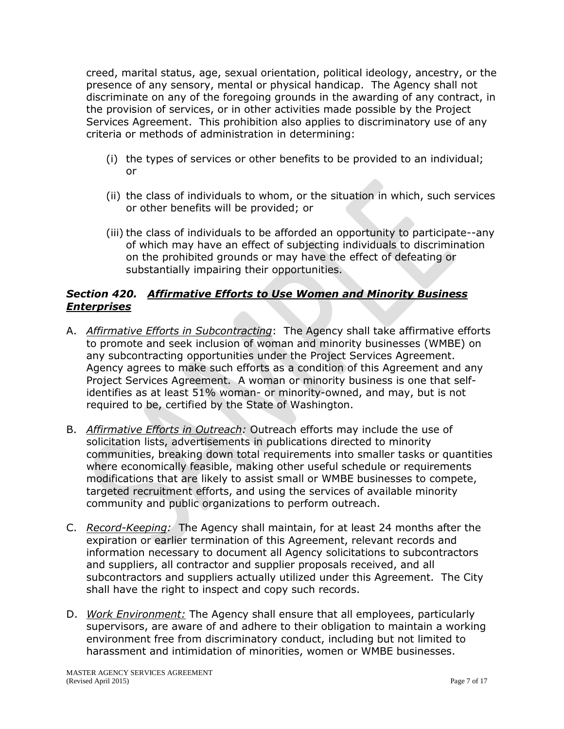creed, marital status, age, sexual orientation, political ideology, ancestry, or the presence of any sensory, mental or physical handicap. The Agency shall not discriminate on any of the foregoing grounds in the awarding of any contract, in the provision of services, or in other activities made possible by the Project Services Agreement. This prohibition also applies to discriminatory use of any criteria or methods of administration in determining:

- (i) the types of services or other benefits to be provided to an individual; or
- (ii) the class of individuals to whom, or the situation in which, such services or other benefits will be provided; or
- (iii) the class of individuals to be afforded an opportunity to participate--any of which may have an effect of subjecting individuals to discrimination on the prohibited grounds or may have the effect of defeating or substantially impairing their opportunities.

## *Section 420. Affirmative Efforts to Use Women and Minority Business Enterprises*

- A. *Affirmative Efforts in Subcontracting*: The Agency shall take affirmative efforts to promote and seek inclusion of woman and minority businesses (WMBE) on any subcontracting opportunities under the Project Services Agreement. Agency agrees to make such efforts as a condition of this Agreement and any Project Services Agreement. A woman or minority business is one that selfidentifies as at least 51% woman- or minority-owned, and may, but is not required to be, certified by the State of Washington.
- B. *Affirmative Efforts in Outreach:* Outreach efforts may include the use of solicitation lists, advertisements in publications directed to minority communities, breaking down total requirements into smaller tasks or quantities where economically feasible, making other useful schedule or requirements modifications that are likely to assist small or WMBE businesses to compete, targeted recruitment efforts, and using the services of available minority community and public organizations to perform outreach.
- C. *Record-Keeping:* The Agency shall maintain, for at least 24 months after the expiration or earlier termination of this Agreement, relevant records and information necessary to document all Agency solicitations to subcontractors and suppliers, all contractor and supplier proposals received, and all subcontractors and suppliers actually utilized under this Agreement. The City shall have the right to inspect and copy such records.
- D. *Work Environment:* The Agency shall ensure that all employees, particularly supervisors, are aware of and adhere to their obligation to maintain a working environment free from discriminatory conduct, including but not limited to harassment and intimidation of minorities, women or WMBE businesses.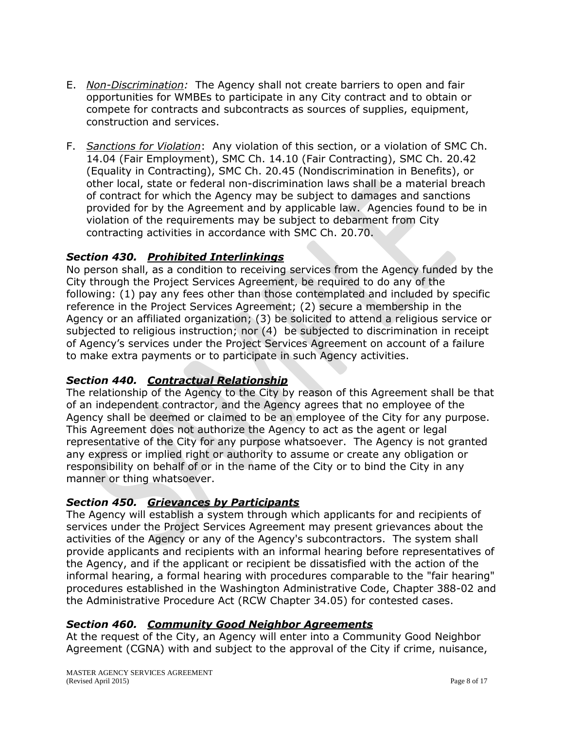- E. *Non-Discrimination:* The Agency shall not create barriers to open and fair opportunities for WMBEs to participate in any City contract and to obtain or compete for contracts and subcontracts as sources of supplies, equipment, construction and services.
- F. *Sanctions for Violation*: Any violation of this section, or a violation of SMC Ch. 14.04 (Fair Employment), SMC Ch. 14.10 (Fair Contracting), SMC Ch. 20.42 (Equality in Contracting), SMC Ch. 20.45 (Nondiscrimination in Benefits), or other local, state or federal non-discrimination laws shall be a material breach of contract for which the Agency may be subject to damages and sanctions provided for by the Agreement and by applicable law. Agencies found to be in violation of the requirements may be subject to debarment from City contracting activities in accordance with SMC Ch. 20.70.

## *Section 430. Prohibited Interlinkings*

No person shall, as a condition to receiving services from the Agency funded by the City through the Project Services Agreement, be required to do any of the following: (1) pay any fees other than those contemplated and included by specific reference in the Project Services Agreement; (2) secure a membership in the Agency or an affiliated organization; (3) be solicited to attend a religious service or subjected to religious instruction; nor (4) be subjected to discrimination in receipt of Agency's services under the Project Services Agreement on account of a failure to make extra payments or to participate in such Agency activities.

## *Section 440. Contractual Relationship*

The relationship of the Agency to the City by reason of this Agreement shall be that of an independent contractor, and the Agency agrees that no employee of the Agency shall be deemed or claimed to be an employee of the City for any purpose. This Agreement does not authorize the Agency to act as the agent or legal representative of the City for any purpose whatsoever. The Agency is not granted any express or implied right or authority to assume or create any obligation or responsibility on behalf of or in the name of the City or to bind the City in any manner or thing whatsoever.

#### *Section 450. Grievances by Participants*

The Agency will establish a system through which applicants for and recipients of services under the Project Services Agreement may present grievances about the activities of the Agency or any of the Agency's subcontractors. The system shall provide applicants and recipients with an informal hearing before representatives of the Agency, and if the applicant or recipient be dissatisfied with the action of the informal hearing, a formal hearing with procedures comparable to the "fair hearing" procedures established in the Washington Administrative Code, Chapter 388-02 and the Administrative Procedure Act (RCW Chapter 34.05) for contested cases.

## *Section 460. Community Good Neighbor Agreements*

At the request of the City, an Agency will enter into a Community Good Neighbor Agreement (CGNA) with and subject to the approval of the City if crime, nuisance,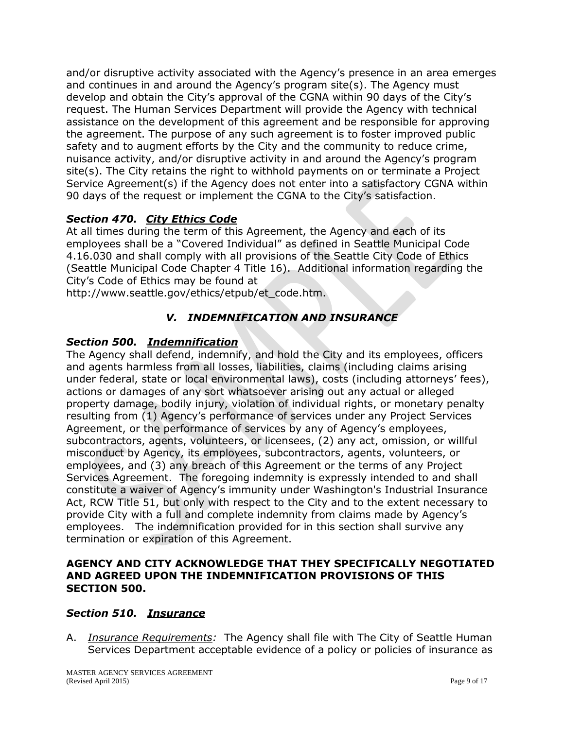and/or disruptive activity associated with the Agency's presence in an area emerges and continues in and around the Agency's program site(s). The Agency must develop and obtain the City's approval of the CGNA within 90 days of the City's request. The Human Services Department will provide the Agency with technical assistance on the development of this agreement and be responsible for approving the agreement. The purpose of any such agreement is to foster improved public safety and to augment efforts by the City and the community to reduce crime, nuisance activity, and/or disruptive activity in and around the Agency's program site(s). The City retains the right to withhold payments on or terminate a Project Service Agreement(s) if the Agency does not enter into a satisfactory CGNA within 90 days of the request or implement the CGNA to the City's satisfaction.

## *Section 470. City Ethics Code*

At all times during the term of this Agreement, the Agency and each of its employees shall be a "Covered Individual" as defined in Seattle Municipal Code 4.16.030 and shall comply with all provisions of the Seattle City Code of Ethics (Seattle Municipal Code Chapter 4 Title 16). Additional information regarding the City's Code of Ethics may be found at

http://www.seattle.gov/ethics/etpub/et\_code.htm.

## *V. INDEMNIFICATION AND INSURANCE*

#### *Section 500. Indemnification*

The Agency shall defend, indemnify, and hold the City and its employees, officers and agents harmless from all losses, liabilities, claims (including claims arising under federal, state or local environmental laws), costs (including attorneys' fees), actions or damages of any sort whatsoever arising out any actual or alleged property damage, bodily injury, violation of individual rights, or monetary penalty resulting from (1) Agency's performance of services under any Project Services Agreement, or the performance of services by any of Agency's employees, subcontractors, agents, volunteers, or licensees, (2) any act, omission, or willful misconduct by Agency, its employees, subcontractors, agents, volunteers, or employees, and (3) any breach of this Agreement or the terms of any Project Services Agreement. The foregoing indemnity is expressly intended to and shall constitute a waiver of Agency's immunity under Washington's Industrial Insurance Act, RCW Title 51, but only with respect to the City and to the extent necessary to provide City with a full and complete indemnity from claims made by Agency's employees. The indemnification provided for in this section shall survive any termination or expiration of this Agreement.

#### **AGENCY AND CITY ACKNOWLEDGE THAT THEY SPECIFICALLY NEGOTIATED AND AGREED UPON THE INDEMNIFICATION PROVISIONS OF THIS SECTION 500.**

#### *Section 510. Insurance*

A. *Insurance Requirements:* The Agency shall file with The City of Seattle Human Services Department acceptable evidence of a policy or policies of insurance as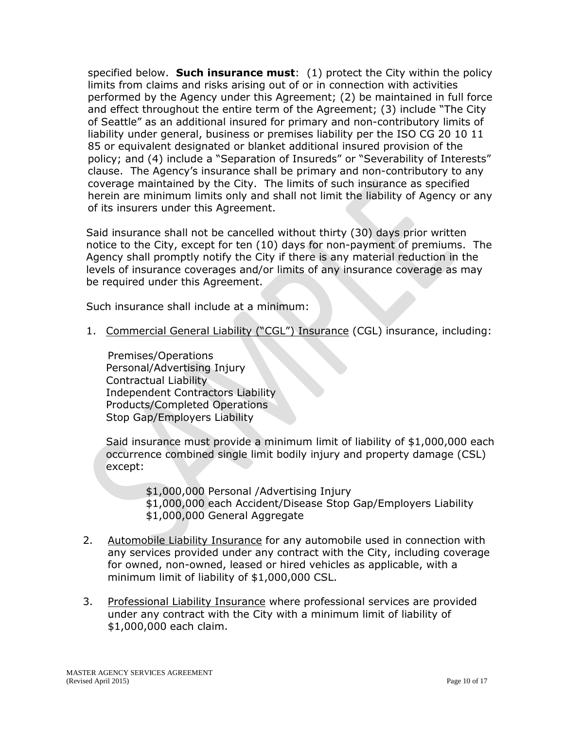specified below. **Such insurance must**: (1) protect the City within the policy limits from claims and risks arising out of or in connection with activities performed by the Agency under this Agreement; (2) be maintained in full force and effect throughout the entire term of the Agreement; (3) include "The City of Seattle" as an additional insured for primary and non-contributory limits of liability under general, business or premises liability per the ISO CG 20 10 11 85 or equivalent designated or blanket additional insured provision of the policy; and (4) include a "Separation of Insureds" or "Severability of Interests" clause. The Agency's insurance shall be primary and non-contributory to any coverage maintained by the City. The limits of such insurance as specified herein are minimum limits only and shall not limit the liability of Agency or any of its insurers under this Agreement.

Said insurance shall not be cancelled without thirty (30) days prior written notice to the City, except for ten (10) days for non-payment of premiums. The Agency shall promptly notify the City if there is any material reduction in the levels of insurance coverages and/or limits of any insurance coverage as may be required under this Agreement.

Such insurance shall include at a minimum:

1. Commercial General Liability ("CGL") Insurance (CGL) insurance, including:

Premises/Operations Personal/Advertising Injury Contractual Liability Independent Contractors Liability Products/Completed Operations Stop Gap/Employers Liability

Said insurance must provide a minimum limit of liability of \$1,000,000 each occurrence combined single limit bodily injury and property damage (CSL) except:

> \$1,000,000 Personal /Advertising Injury \$1,000,000 each Accident/Disease Stop Gap/Employers Liability \$1,000,000 General Aggregate

- 2. Automobile Liability Insurance for any automobile used in connection with any services provided under any contract with the City, including coverage for owned, non-owned, leased or hired vehicles as applicable, with a minimum limit of liability of \$1,000,000 CSL.
- 3. Professional Liability Insurance where professional services are provided under any contract with the City with a minimum limit of liability of \$1,000,000 each claim.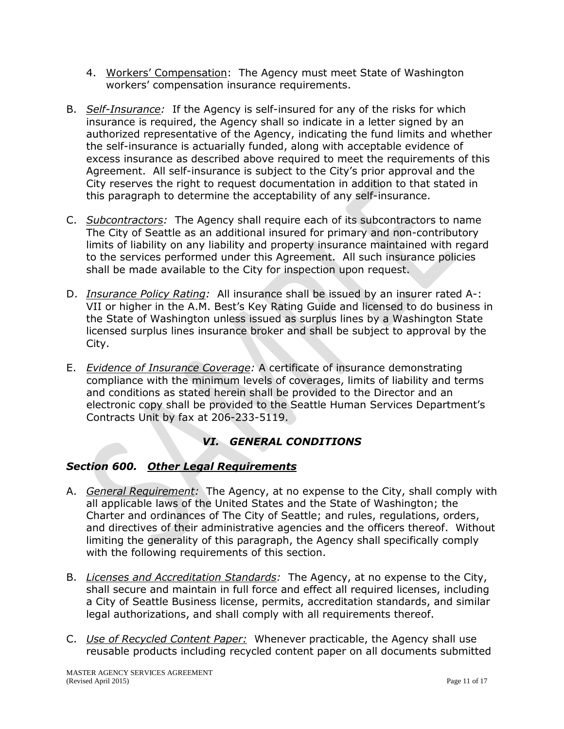- 4. Workers' Compensation: The Agency must meet State of Washington workers' compensation insurance requirements.
- B. *Self-Insurance:* If the Agency is self-insured for any of the risks for which insurance is required, the Agency shall so indicate in a letter signed by an authorized representative of the Agency, indicating the fund limits and whether the self-insurance is actuarially funded, along with acceptable evidence of excess insurance as described above required to meet the requirements of this Agreement. All self-insurance is subject to the City's prior approval and the City reserves the right to request documentation in addition to that stated in this paragraph to determine the acceptability of any self-insurance.
- C. *Subcontractors:* The Agency shall require each of its subcontractors to name The City of Seattle as an additional insured for primary and non-contributory limits of liability on any liability and property insurance maintained with regard to the services performed under this Agreement. All such insurance policies shall be made available to the City for inspection upon request.
- D. *Insurance Policy Rating:* All insurance shall be issued by an insurer rated A-: VII or higher in the A.M. Best's Key Rating Guide and licensed to do business in the State of Washington unless issued as surplus lines by a Washington State licensed surplus lines insurance broker and shall be subject to approval by the City.
- E. *Evidence of Insurance Coverage:* A certificate of insurance demonstrating compliance with the minimum levels of coverages, limits of liability and terms and conditions as stated herein shall be provided to the Director and an electronic copy shall be provided to the Seattle Human Services Department's Contracts Unit by fax at 206-233-5119.

# *VI. GENERAL CONDITIONS*

## *Section 600. Other Legal Requirements*

- A. *General Requirement:* The Agency, at no expense to the City, shall comply with all applicable laws of the United States and the State of Washington; the Charter and ordinances of The City of Seattle; and rules, regulations, orders, and directives of their administrative agencies and the officers thereof. Without limiting the generality of this paragraph, the Agency shall specifically comply with the following requirements of this section.
- B. *Licenses and Accreditation Standards:* The Agency, at no expense to the City, shall secure and maintain in full force and effect all required licenses, including a City of Seattle Business license, permits, accreditation standards, and similar legal authorizations, and shall comply with all requirements thereof.
- C. *Use of Recycled Content Paper:* Whenever practicable, the Agency shall use reusable products including recycled content paper on all documents submitted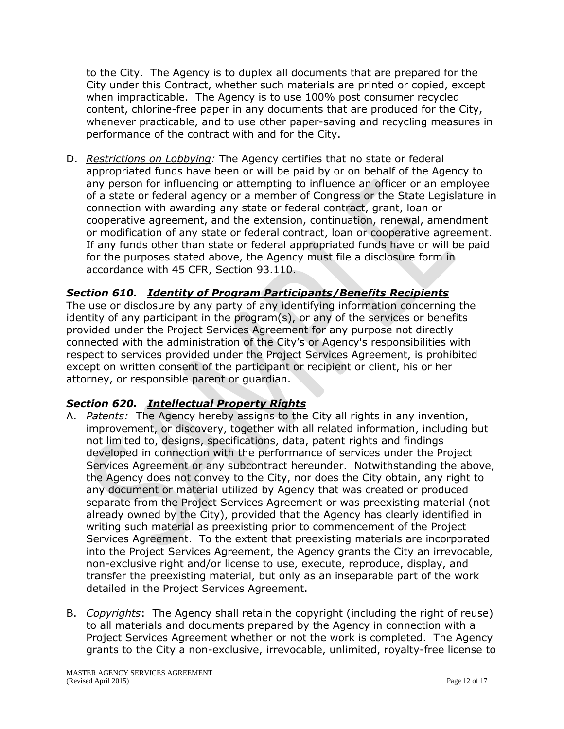to the City. The Agency is to duplex all documents that are prepared for the City under this Contract, whether such materials are printed or copied, except when impracticable. The Agency is to use 100% post consumer recycled content, chlorine-free paper in any documents that are produced for the City, whenever practicable, and to use other paper-saving and recycling measures in performance of the contract with and for the City.

D. *Restrictions on Lobbying:* The Agency certifies that no state or federal appropriated funds have been or will be paid by or on behalf of the Agency to any person for influencing or attempting to influence an officer or an employee of a state or federal agency or a member of Congress or the State Legislature in connection with awarding any state or federal contract, grant, loan or cooperative agreement, and the extension, continuation, renewal, amendment or modification of any state or federal contract, loan or cooperative agreement. If any funds other than state or federal appropriated funds have or will be paid for the purposes stated above, the Agency must file a disclosure form in accordance with 45 CFR, Section 93.110.

## *Section 610. Identity of Program Participants/Benefits Recipients*

The use or disclosure by any party of any identifying information concerning the identity of any participant in the program(s), or any of the services or benefits provided under the Project Services Agreement for any purpose not directly connected with the administration of the City's or Agency's responsibilities with respect to services provided under the Project Services Agreement, is prohibited except on written consent of the participant or recipient or client, his or her attorney, or responsible parent or guardian.

#### *Section 620. Intellectual Property Rights*

- A. *Patents:* The Agency hereby assigns to the City all rights in any invention, improvement, or discovery, together with all related information, including but not limited to, designs, specifications, data, patent rights and findings developed in connection with the performance of services under the Project Services Agreement or any subcontract hereunder. Notwithstanding the above, the Agency does not convey to the City, nor does the City obtain, any right to any document or material utilized by Agency that was created or produced separate from the Project Services Agreement or was preexisting material (not already owned by the City), provided that the Agency has clearly identified in writing such material as preexisting prior to commencement of the Project Services Agreement. To the extent that preexisting materials are incorporated into the Project Services Agreement, the Agency grants the City an irrevocable, non-exclusive right and/or license to use, execute, reproduce, display, and transfer the preexisting material, but only as an inseparable part of the work detailed in the Project Services Agreement.
- B. *Copyrights*: The Agency shall retain the copyright (including the right of reuse) to all materials and documents prepared by the Agency in connection with a Project Services Agreement whether or not the work is completed. The Agency grants to the City a non-exclusive, irrevocable, unlimited, royalty-free license to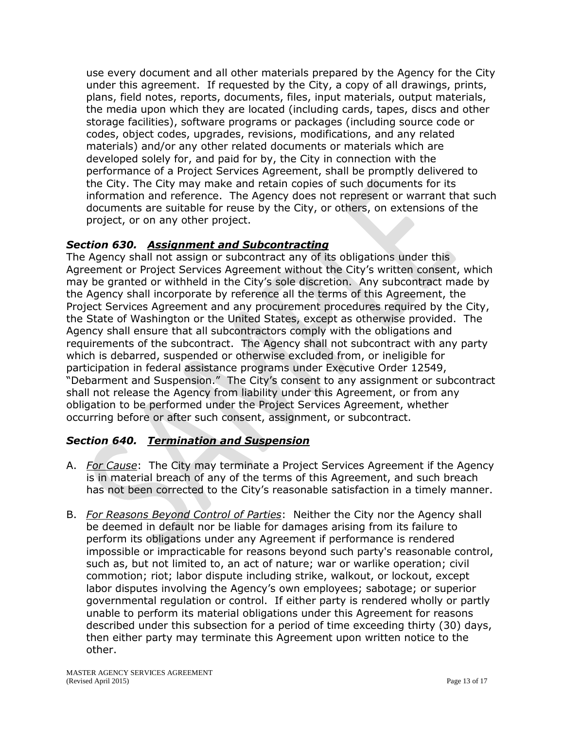use every document and all other materials prepared by the Agency for the City under this agreement. If requested by the City, a copy of all drawings, prints, plans, field notes, reports, documents, files, input materials, output materials, the media upon which they are located (including cards, tapes, discs and other storage facilities), software programs or packages (including source code or codes, object codes, upgrades, revisions, modifications, and any related materials) and/or any other related documents or materials which are developed solely for, and paid for by, the City in connection with the performance of a Project Services Agreement, shall be promptly delivered to the City. The City may make and retain copies of such documents for its information and reference. The Agency does not represent or warrant that such documents are suitable for reuse by the City, or others, on extensions of the project, or on any other project.

## *Section 630. Assignment and Subcontracting*

The Agency shall not assign or subcontract any of its obligations under this Agreement or Project Services Agreement without the City's written consent, which may be granted or withheld in the City's sole discretion. Any subcontract made by the Agency shall incorporate by reference all the terms of this Agreement, the Project Services Agreement and any procurement procedures required by the City, the State of Washington or the United States, except as otherwise provided. The Agency shall ensure that all subcontractors comply with the obligations and requirements of the subcontract. The Agency shall not subcontract with any party which is debarred, suspended or otherwise excluded from, or ineligible for participation in federal assistance programs under Executive Order 12549, "Debarment and Suspension." The City's consent to any assignment or subcontract shall not release the Agency from liability under this Agreement, or from any obligation to be performed under the Project Services Agreement, whether occurring before or after such consent, assignment, or subcontract.

## *Section 640. Termination and Suspension*

- A. *For Cause*: The City may terminate a Project Services Agreement if the Agency is in material breach of any of the terms of this Agreement, and such breach has not been corrected to the City's reasonable satisfaction in a timely manner.
- B. *For Reasons Beyond Control of Parties*: Neither the City nor the Agency shall be deemed in default nor be liable for damages arising from its failure to perform its obligations under any Agreement if performance is rendered impossible or impracticable for reasons beyond such party's reasonable control, such as, but not limited to, an act of nature; war or warlike operation; civil commotion; riot; labor dispute including strike, walkout, or lockout, except labor disputes involving the Agency's own employees; sabotage; or superior governmental regulation or control. If either party is rendered wholly or partly unable to perform its material obligations under this Agreement for reasons described under this subsection for a period of time exceeding thirty (30) days, then either party may terminate this Agreement upon written notice to the other.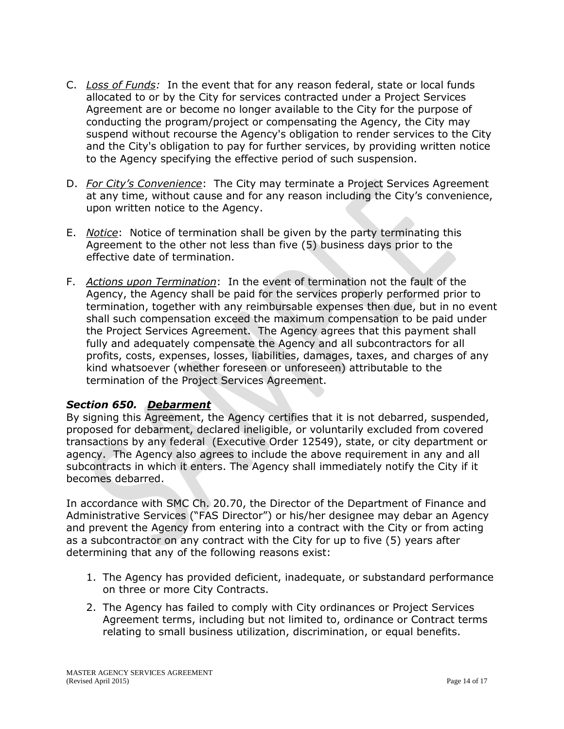- C. *Loss of Funds:* In the event that for any reason federal, state or local funds allocated to or by the City for services contracted under a Project Services Agreement are or become no longer available to the City for the purpose of conducting the program/project or compensating the Agency, the City may suspend without recourse the Agency's obligation to render services to the City and the City's obligation to pay for further services, by providing written notice to the Agency specifying the effective period of such suspension.
- D. *For City's Convenience*: The City may terminate a Project Services Agreement at any time, without cause and for any reason including the City's convenience, upon written notice to the Agency.
- E. *Notice*: Notice of termination shall be given by the party terminating this Agreement to the other not less than five (5) business days prior to the effective date of termination.
- F. *Actions upon Termination*: In the event of termination not the fault of the Agency, the Agency shall be paid for the services properly performed prior to termination, together with any reimbursable expenses then due, but in no event shall such compensation exceed the maximum compensation to be paid under the Project Services Agreement. The Agency agrees that this payment shall fully and adequately compensate the Agency and all subcontractors for all profits, costs, expenses, losses, liabilities, damages, taxes, and charges of any kind whatsoever (whether foreseen or unforeseen) attributable to the termination of the Project Services Agreement.

## *Section 650. Debarment*

By signing this Agreement, the Agency certifies that it is not debarred, suspended, proposed for debarment, declared ineligible, or voluntarily excluded from covered transactions by any federal (Executive Order 12549), state, or city department or agency. The Agency also agrees to include the above requirement in any and all subcontracts in which it enters. The Agency shall immediately notify the City if it becomes debarred.

In accordance with SMC Ch. 20.70, the Director of the Department of Finance and Administrative Services ("FAS Director") or his/her designee may debar an Agency and prevent the Agency from entering into a contract with the City or from acting as a subcontractor on any contract with the City for up to five (5) years after determining that any of the following reasons exist:

- 1. The Agency has provided deficient, inadequate, or substandard performance on three or more City Contracts.
- 2. The Agency has failed to comply with City ordinances or Project Services Agreement terms, including but not limited to, ordinance or Contract terms relating to small business utilization, discrimination, or equal benefits.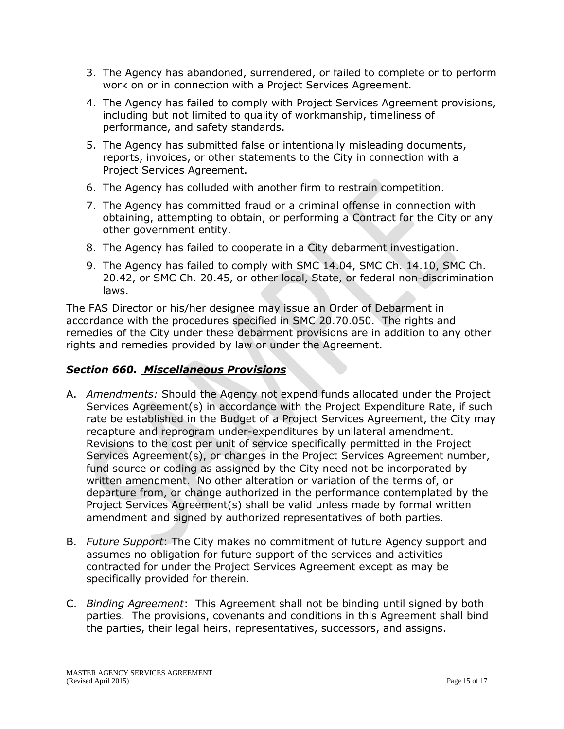- 3. The Agency has abandoned, surrendered, or failed to complete or to perform work on or in connection with a Project Services Agreement.
- 4. The Agency has failed to comply with Project Services Agreement provisions, including but not limited to quality of workmanship, timeliness of performance, and safety standards.
- 5. The Agency has submitted false or intentionally misleading documents, reports, invoices, or other statements to the City in connection with a Project Services Agreement.
- 6. The Agency has colluded with another firm to restrain competition.
- 7. The Agency has committed fraud or a criminal offense in connection with obtaining, attempting to obtain, or performing a Contract for the City or any other government entity.
- 8. The Agency has failed to cooperate in a City debarment investigation.
- 9. The Agency has failed to comply with SMC 14.04, SMC Ch. 14.10, SMC Ch. 20.42, or SMC Ch. 20.45, or other local, State, or federal non-discrimination laws.

The FAS Director or his/her designee may issue an Order of Debarment in accordance with the procedures specified in SMC 20.70.050. The rights and remedies of the City under these debarment provisions are in addition to any other rights and remedies provided by law or under the Agreement.

# *Section 660. Miscellaneous Provisions*

- A. *Amendments:* Should the Agency not expend funds allocated under the Project Services Agreement(s) in accordance with the Project Expenditure Rate, if such rate be established in the Budget of a Project Services Agreement, the City may recapture and reprogram under-expenditures by unilateral amendment. Revisions to the cost per unit of service specifically permitted in the Project Services Agreement(s), or changes in the Project Services Agreement number, fund source or coding as assigned by the City need not be incorporated by written amendment. No other alteration or variation of the terms of, or departure from, or change authorized in the performance contemplated by the Project Services Agreement(s) shall be valid unless made by formal written amendment and signed by authorized representatives of both parties.
- B. *Future Support*: The City makes no commitment of future Agency support and assumes no obligation for future support of the services and activities contracted for under the Project Services Agreement except as may be specifically provided for therein.
- C. *Binding Agreement*: This Agreement shall not be binding until signed by both parties. The provisions, covenants and conditions in this Agreement shall bind the parties, their legal heirs, representatives, successors, and assigns.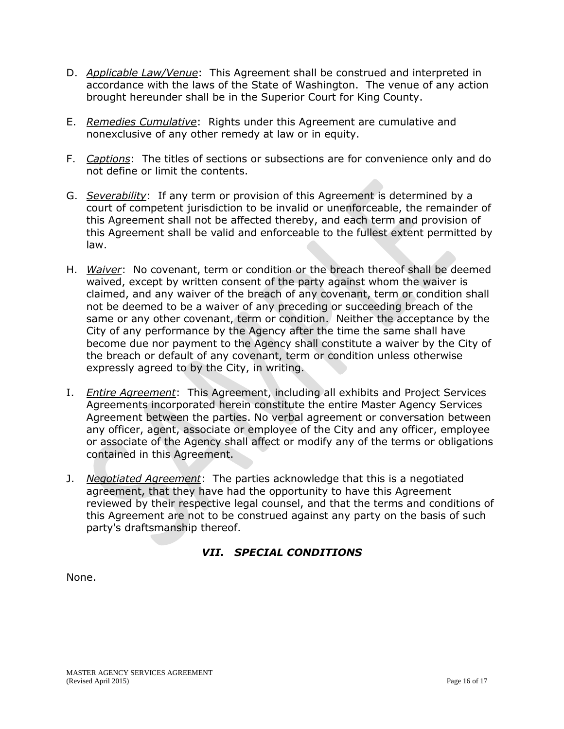- D. *Applicable Law/Venue*: This Agreement shall be construed and interpreted in accordance with the laws of the State of Washington. The venue of any action brought hereunder shall be in the Superior Court for King County.
- E. *Remedies Cumulative*: Rights under this Agreement are cumulative and nonexclusive of any other remedy at law or in equity.
- F. *Captions*: The titles of sections or subsections are for convenience only and do not define or limit the contents.
- G. *Severability*: If any term or provision of this Agreement is determined by a court of competent jurisdiction to be invalid or unenforceable, the remainder of this Agreement shall not be affected thereby, and each term and provision of this Agreement shall be valid and enforceable to the fullest extent permitted by law.
- H. *Waiver*: No covenant, term or condition or the breach thereof shall be deemed waived, except by written consent of the party against whom the waiver is claimed, and any waiver of the breach of any covenant, term or condition shall not be deemed to be a waiver of any preceding or succeeding breach of the same or any other covenant, term or condition. Neither the acceptance by the City of any performance by the Agency after the time the same shall have become due nor payment to the Agency shall constitute a waiver by the City of the breach or default of any covenant, term or condition unless otherwise expressly agreed to by the City, in writing.
- I. *Entire Agreement*: This Agreement, including all exhibits and Project Services Agreements incorporated herein constitute the entire Master Agency Services Agreement between the parties. No verbal agreement or conversation between any officer, agent, associate or employee of the City and any officer, employee or associate of the Agency shall affect or modify any of the terms or obligations contained in this Agreement.
- J. *Negotiated Agreement*: The parties acknowledge that this is a negotiated agreement, that they have had the opportunity to have this Agreement reviewed by their respective legal counsel, and that the terms and conditions of this Agreement are not to be construed against any party on the basis of such party's draftsmanship thereof.

# *VII. SPECIAL CONDITIONS*

None.